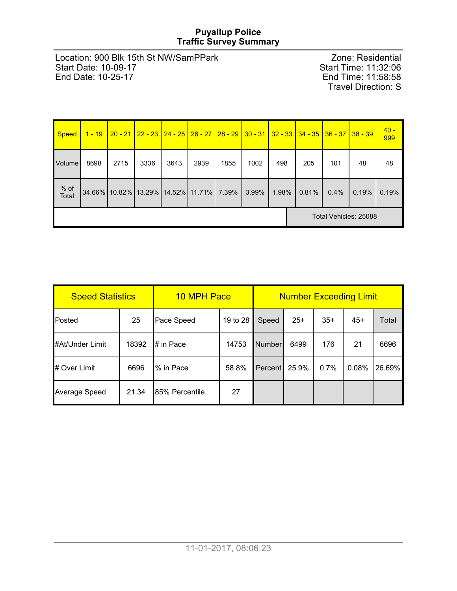## Puyallup Police Traffic Survey Summary

Location: 900 Blk 15th St NW/SamPPark **Exercise 2** Zone: Residential Start Date: 10-09-17 Start Date: 10-09-17 Start Time: 11:32:06

End Time: 11:58:58 Travel Direction: S

| <b>Speed</b>  | $1 - 19$ |           | $20 - 21$   22 - 23   24 - 25   26 - 27 |      |               |                       |       |            | <mark>  28 - 29   30 - 31   32 - 33   34 - 35   36 - 37</mark> |      | $38 - 39$ | $40 -$<br>999 |
|---------------|----------|-----------|-----------------------------------------|------|---------------|-----------------------|-------|------------|----------------------------------------------------------------|------|-----------|---------------|
| Volume        | 8698     | 2715      | 3336                                    | 3643 | 2939          | 1855                  | 1002  | 205<br>498 |                                                                | 101  | 48        | 48            |
| % of<br>Total | 34.66%   | $10.82\%$ | 13.29%                                  |      | 14.52% 11.71% | 7.39%                 | 3.99% | 1.98%      | 0.81%                                                          | 0.4% | 0.19%     | 0.19%         |
|               |          |           |                                         |      |               | Total Vehicles: 25088 |       |            |                                                                |      |           |               |

| <b>Speed Statistics</b> |       | 10 MPH Pace             |          | <b>Number Exceeding Limit</b> |       |       |       |        |  |  |  |
|-------------------------|-------|-------------------------|----------|-------------------------------|-------|-------|-------|--------|--|--|--|
| Posted                  | 25    | Pace Speed              | 19 to 28 | Speed                         | $25+$ | $35+$ | $45+$ | Total  |  |  |  |
| #At/Under Limit         | 18392 | $\parallel$ # in Pace   | 14753    | Number                        | 6499  | 176   | 21    | 6696   |  |  |  |
| # Over Limit            | 6696  | % in Pace               | 58.8%    | Percent                       | 25.9% | 0.7%  | 0.08% | 26.69% |  |  |  |
| Average Speed           | 21.34 | <b>I</b> 85% Percentile | 27       |                               |       |       |       |        |  |  |  |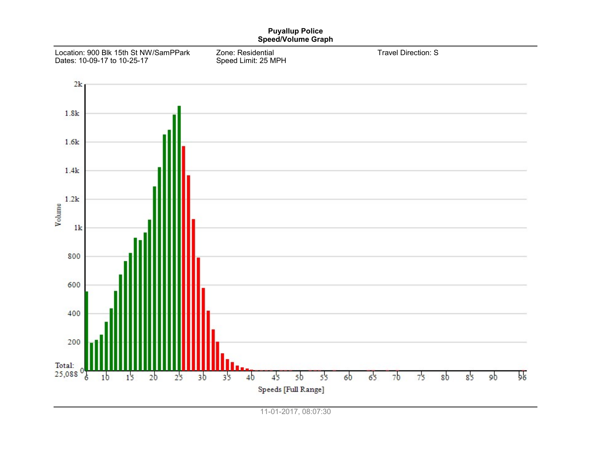

11-01-2017, 08:07:30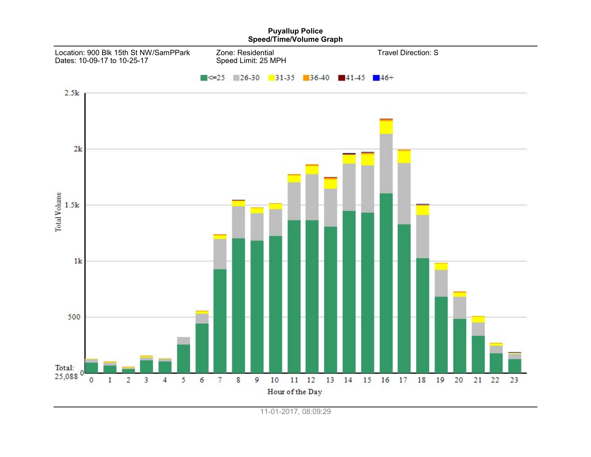

11-01-2017, 08:09:29